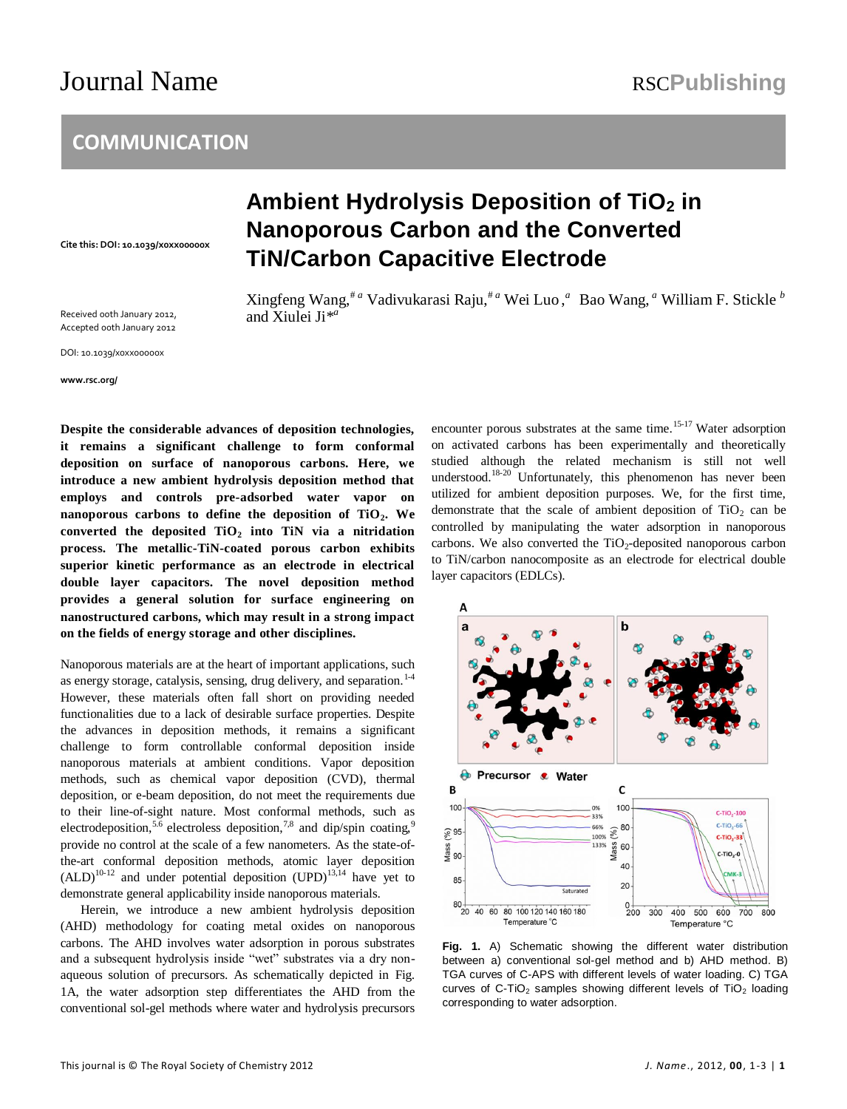## Journal Name RSCPublishing

### **COMMUNICATION**

**Cite this: DOI: 10.1039/x0xx00000x**

# **Ambient Hydrolysis Deposition of TiO<sup>2</sup> in Nanoporous Carbon and the Converted TiN/Carbon Capacitive Electrode**

Xingfeng Wang,# *<sup>a</sup>* Vadivukarasi Raju,# *<sup>a</sup>* Wei Luo , *<sup>a</sup>* Bao Wang, *<sup>a</sup>* William F. Stickle *<sup>b</sup>* and Xiulei Ji*\* a*

Received 00th January 2012, Accepted 00th January 2012

DOI: 10.1039/x0xx00000x

**www.rsc.org/**

**Despite the considerable advances of deposition technologies, it remains a significant challenge to form conformal deposition on surface of nanoporous carbons. Here, we introduce a new ambient hydrolysis deposition method that employs and controls pre-adsorbed water vapor on nanoporous carbons to define the deposition of TiO2. We converted the deposited TiO<sup>2</sup> into TiN via a nitridation process. The metallic-TiN-coated porous carbon exhibits superior kinetic performance as an electrode in electrical double layer capacitors. The novel deposition method provides a general solution for surface engineering on nanostructured carbons, which may result in a strong impact on the fields of energy storage and other disciplines.**

Nanoporous materials are at the heart of important applications, such as energy storage, catalysis, sensing, drug delivery, and separation.<sup>1-4</sup> However, these materials often fall short on providing needed functionalities due to a lack of desirable surface properties. Despite the advances in deposition methods, it remains a significant challenge to form controllable conformal deposition inside nanoporous materials at ambient conditions. Vapor deposition methods, such as chemical vapor deposition (CVD), thermal deposition, or e-beam deposition, do not meet the requirements due to their line-of-sight nature. Most conformal methods, such as electrodeposition,<sup>5.6</sup> electroless deposition,<sup>7,8</sup> and dip/spin coating,<sup>9</sup> provide no control at the scale of a few nanometers. As the state-ofthe-art conformal deposition methods, atomic layer deposition  $(ALD)^{10-12}$  and under potential deposition  $(UPD)^{13,14}$  have yet to demonstrate general applicability inside nanoporous materials.

Herein, we introduce a new ambient hydrolysis deposition (AHD) methodology for coating metal oxides on nanoporous carbons. The AHD involves water adsorption in porous substrates and a subsequent hydrolysis inside "wet" substrates via a dry nonaqueous solution of precursors. As schematically depicted in Fig. 1A, the water adsorption step differentiates the AHD from the conventional sol-gel methods where water and hydrolysis precursors encounter porous substrates at the same time.<sup>15-17</sup> Water adsorption on activated carbons has been experimentally and theoretically studied although the related mechanism is still not well understood.<sup>18-20</sup> Unfortunately, this phenomenon has never been utilized for ambient deposition purposes. We, for the first time, demonstrate that the scale of ambient deposition of  $TiO<sub>2</sub>$  can be controlled by manipulating the water adsorption in nanoporous carbons. We also converted the  $TiO<sub>2</sub>$ -deposited nanoporous carbon to TiN/carbon nanocomposite as an electrode for electrical double layer capacitors (EDLCs).



**Fig. 1.** A) Schematic showing the different water distribution between a) conventional sol-gel method and b) AHD method. B) TGA curves of C-APS with different levels of water loading. C) TGA curves of C-TiO<sub>2</sub> samples showing different levels of TiO<sub>2</sub> loading corresponding to water adsorption.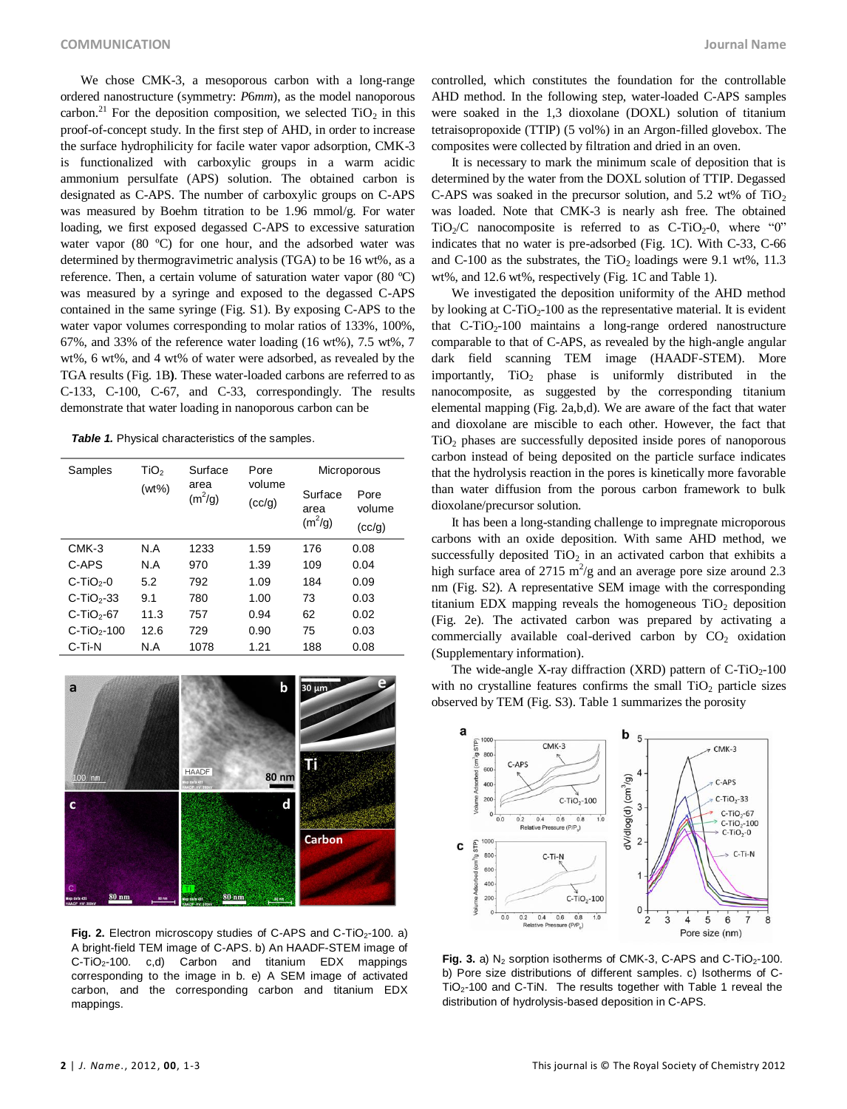We chose CMK-3, a mesoporous carbon with a long-range ordered nanostructure (symmetry: *P*6*mm*), as the model nanoporous carbon.<sup>21</sup> For the deposition composition, we selected  $TiO<sub>2</sub>$  in this proof-of-concept study. In the first step of AHD, in order to increase the surface hydrophilicity for facile water vapor adsorption, CMK-3 is functionalized with carboxylic groups in a warm acidic ammonium persulfate (APS) solution. The obtained carbon is designated as C-APS. The number of carboxylic groups on C-APS was measured by Boehm titration to be 1.96 mmol/g. For water loading, we first exposed degassed C-APS to excessive saturation water vapor (80 ºC) for one hour, and the adsorbed water was determined by thermogravimetric analysis (TGA) to be 16 wt%, as a reference. Then, a certain volume of saturation water vapor (80 ºC) was measured by a syringe and exposed to the degassed C-APS contained in the same syringe (Fig. S1). By exposing C-APS to the water vapor volumes corresponding to molar ratios of 133%, 100%, 67%, and 33% of the reference water loading (16 wt%), 7.5 wt%, 7 wt%, 6 wt%, and 4 wt% of water were adsorbed, as revealed by the TGA results (Fig. 1B**)**. These water-loaded carbons are referred to as C-133, C-100, C-67, and C-33, correspondingly. The results demonstrate that water loading in nanoporous carbon can be

*Table 1.* Physical characteristics of the samples.

| Samples      | TiO <sub>2</sub><br>$(wt\%)$ | Surface<br>area<br>$(m^2/g)$ | Pore<br>volume<br>(cc/q) | Microporous                  |                          |
|--------------|------------------------------|------------------------------|--------------------------|------------------------------|--------------------------|
|              |                              |                              |                          | Surface<br>area<br>$(m^2/q)$ | Pore<br>volume<br>(cc/q) |
| CMK-3        | N.A                          | 1233                         | 1.59                     | 176                          | 0.08                     |
| C-APS        | N.A                          | 970                          | 1.39                     | 109                          | 0.04                     |
| $C-TIO2-0$   | 5.2                          | 792                          | 1.09                     | 184                          | 0.09                     |
| $C-TIO -33$  | 9.1                          | 780                          | 1.00                     | 73                           | 0.03                     |
| $C-TIO2-67$  | 11.3                         | 757                          | 0.94                     | 62                           | 0.02                     |
| $C-TIO2-100$ | 12.6                         | 729                          | 0.90                     | 75                           | 0.03                     |
| C-Ti-N       | N.A                          | 1078                         | 1.21                     | 188                          | 0.08                     |



Fig. 2. Electron microscopy studies of C-APS and C-TiO<sub>2</sub>-100. a) A bright-field TEM image of C-APS. b) An HAADF-STEM image of C-TiO<sub>2</sub>-100. c,d) Carbon and titanium EDX mappings corresponding to the image in b. e) A SEM image of activated carbon, and the corresponding carbon and titanium EDX mappings.

controlled, which constitutes the foundation for the controllable AHD method. In the following step, water-loaded C-APS samples were soaked in the 1,3 dioxolane (DOXL) solution of titanium tetraisopropoxide (TTIP) (5 vol%) in an Argon-filled glovebox. The composites were collected by filtration and dried in an oven.

It is necessary to mark the minimum scale of deposition that is determined by the water from the DOXL solution of TTIP. Degassed C-APS was soaked in the precursor solution, and  $5.2$  wt% of TiO<sub>2</sub> was loaded. Note that CMK-3 is nearly ash free. The obtained  $TiO<sub>2</sub>/C$  nanocomposite is referred to as C-TiO<sub>2</sub>-0, where "0" indicates that no water is pre-adsorbed (Fig. 1C). With C-33, C-66 and C-100 as the substrates, the  $TiO<sub>2</sub>$  loadings were 9.1 wt%, 11.3 wt%, and 12.6 wt%, respectively (Fig. 1C and Table 1).

We investigated the deposition uniformity of the AHD method by looking at  $C-TiO<sub>2</sub>-100$  as the representative material. It is evident that  $C-TiO<sub>2</sub>-100$  maintains a long-range ordered nanostructure comparable to that of C-APS, as revealed by the high-angle angular dark field scanning TEM image (HAADF-STEM). More importantly,  $TiO<sub>2</sub>$  phase is uniformly distributed in the nanocomposite, as suggested by the corresponding titanium elemental mapping (Fig. 2a,b,d). We are aware of the fact that water and dioxolane are miscible to each other. However, the fact that  $TiO<sub>2</sub>$  phases are successfully deposited inside pores of nanoporous carbon instead of being deposited on the particle surface indicates that the hydrolysis reaction in the pores is kinetically more favorable than water diffusion from the porous carbon framework to bulk dioxolane/precursor solution.

It has been a long-standing challenge to impregnate microporous carbons with an oxide deposition. With same AHD method, we successfully deposited  $TiO<sub>2</sub>$  in an activated carbon that exhibits a high surface area of 2715  $\text{m}^2/\text{g}$  and an average pore size around 2.3 nm (Fig. S2). A representative SEM image with the corresponding titanium EDX mapping reveals the homogeneous  $TiO<sub>2</sub>$  deposition (Fig. 2e). The activated carbon was prepared by activating a commercially available coal-derived carbon by  $CO<sub>2</sub>$  oxidation (Supplementary information).

The wide-angle X-ray diffraction (XRD) pattern of  $C-TiO<sub>2</sub>-100$ with no crystalline features confirms the small  $TiO<sub>2</sub>$  particle sizes observed by TEM (Fig. S3). Table 1 summarizes the porosity



Fig. 3. a)  $N_2$  sorption isotherms of CMK-3, C-APS and C-TiO<sub>2</sub>-100. b) Pore size distributions of different samples. c) Isotherms of C- $TiO<sub>2</sub>$ -100 and C-TiN. The results together with Table 1 reveal the distribution of hydrolysis-based deposition in C-APS.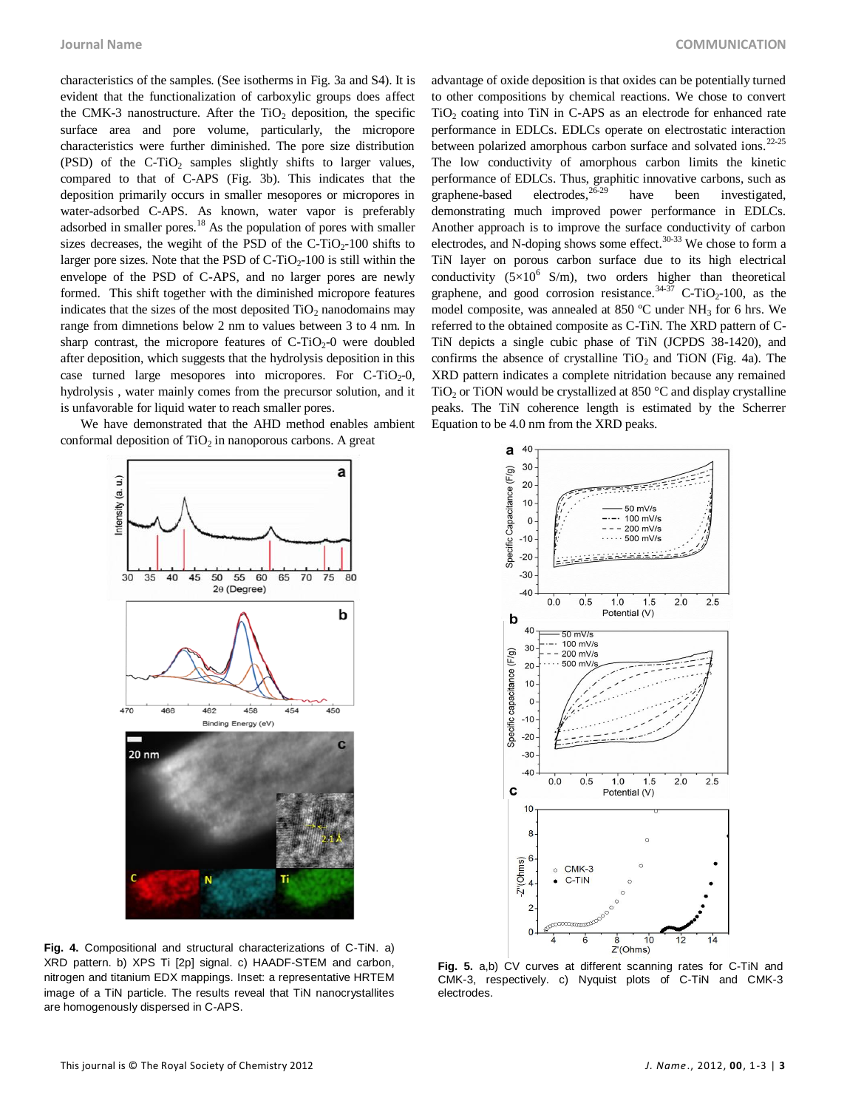characteristics of the samples. (See isotherms in Fig. 3a and S4). It is evident that the functionalization of carboxylic groups does affect the CMK-3 nanostructure. After the  $TiO<sub>2</sub>$  deposition, the specific surface area and pore volume, particularly, the micropore characteristics were further diminished. The pore size distribution (PSD) of the C-TiO<sub>2</sub> samples slightly shifts to larger values, compared to that of C-APS (Fig. 3b). This indicates that the deposition primarily occurs in smaller mesopores or micropores in water-adsorbed C-APS. As known, water vapor is preferably adsorbed in smaller pores.<sup>18</sup> As the population of pores with smaller sizes decreases, the wegiht of the PSD of the  $C-TiO<sub>2</sub>-100$  shifts to larger pore sizes. Note that the PSD of  $C-TiO<sub>2</sub>-100$  is still within the envelope of the PSD of C-APS, and no larger pores are newly formed. This shift together with the diminished micropore features indicates that the sizes of the most deposited  $TiO<sub>2</sub>$  nanodomains may range from dimnetions below 2 nm to values between 3 to 4 nm. In sharp contrast, the micropore features of  $C-TiO<sub>2</sub>-0$  were doubled after deposition, which suggests that the hydrolysis deposition in this case turned large mesopores into micropores. For  $C-TiO<sub>2</sub>-0$ , hydrolysis , water mainly comes from the precursor solution, and it is unfavorable for liquid water to reach smaller pores.

We have demonstrated that the AHD method enables ambient conformal deposition of  $TiO<sub>2</sub>$  in nanoporous carbons. A great

advantage of oxide deposition is that oxides can be potentially turned to other compositions by chemical reactions. We chose to convert  $TiO<sub>2</sub>$  coating into TiN in C-APS as an electrode for enhanced rate performance in EDLCs. EDLCs operate on electrostatic interaction between polarized amorphous carbon surface and solvated ions.<sup>22-25</sup> The low conductivity of amorphous carbon limits the kinetic performance of EDLCs. Thus, graphitic innovative carbons, such as graphene-based electrodes, $26-29$ have been investigated, demonstrating much improved power performance in EDLCs. Another approach is to improve the surface conductivity of carbon electrodes, and N-doping shows some effect.30-33 We chose to form a TiN layer on porous carbon surface due to its high electrical conductivity  $(5\times10^6 \text{ S/m})$ , two orders higher than theoretical graphene, and good corrosion resistance.<sup>34-37</sup> C-TiO<sub>2</sub>-100, as the model composite, was annealed at 850 °C under NH<sub>3</sub> for 6 hrs. We referred to the obtained composite as C-TiN. The XRD pattern of C-TiN depicts a single cubic phase of TiN (JCPDS 38-1420), and confirms the absence of crystalline  $TiO<sub>2</sub>$  and  $TiON$  (Fig. 4a). The XRD pattern indicates a complete nitridation because any remained TiO<sub>2</sub> or TiON would be crystallized at  $850^{\circ}$ C and display crystalline peaks. The TiN coherence length is estimated by the Scherrer Equation to be 4.0 nm from the XRD peaks.





**Fig. 4.** Compositional and structural characterizations of C-TiN. a) XRD pattern. b) XPS Ti [2p] signal. c) HAADF-STEM and carbon, nitrogen and titanium EDX mappings. Inset: a representative HRTEM image of a TiN particle. The results reveal that TiN nanocrystallites are homogenously dispersed in C-APS.

**Fig. 5.** a,b) CV curves at different scanning rates for C-TiN and CMK-3, respectively. c) Nyquist plots of C-TiN and CMK-3 electrodes.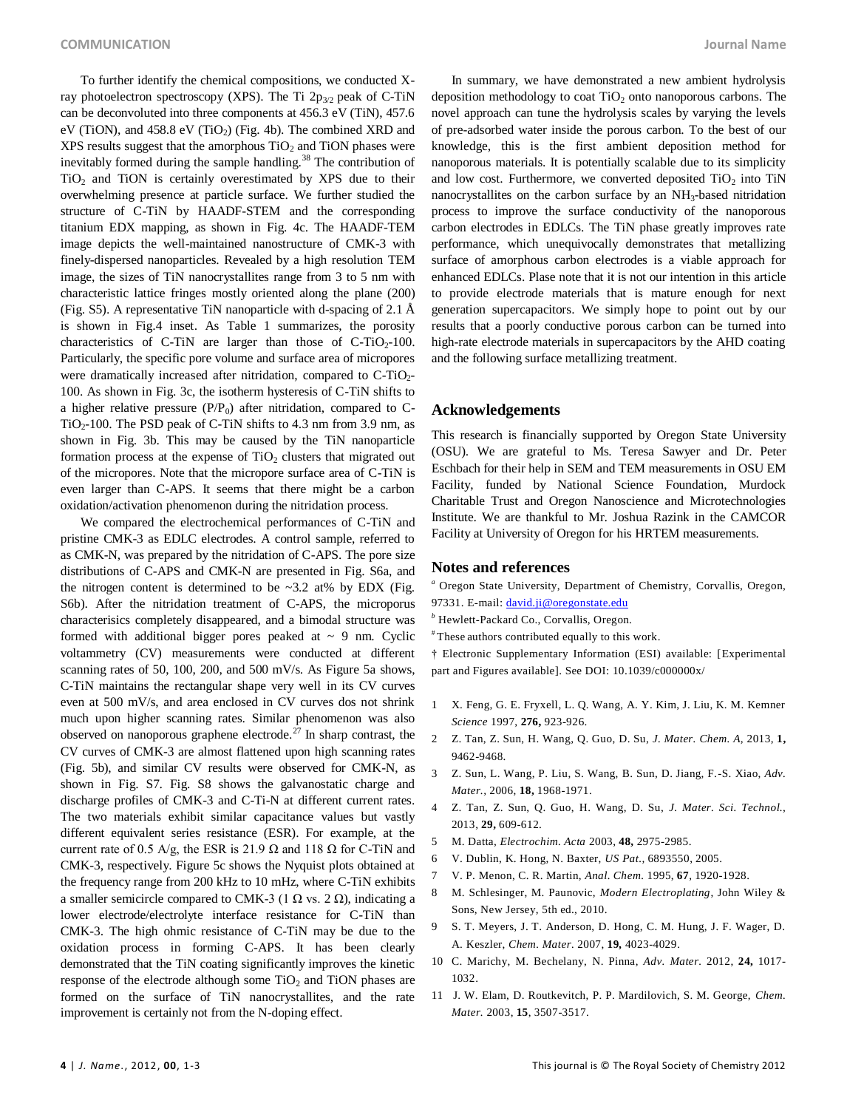To further identify the chemical compositions, we conducted Xray photoelectron spectroscopy (XPS). The Ti 2p<sub>3/2</sub> peak of C-TiN can be deconvoluted into three components at 456.3 eV (TiN), 457.6 eV (TiON), and  $458.8$  eV (TiO<sub>2</sub>) (Fig. 4b). The combined XRD and XPS results suggest that the amorphous  $TiO<sub>2</sub>$  and  $TiON$  phases were inevitably formed during the sample handling.<sup>38</sup> The contribution of  $TiO<sub>2</sub>$  and  $TiON$  is certainly overestimated by XPS due to their overwhelming presence at particle surface. We further studied the structure of C-TiN by HAADF-STEM and the corresponding titanium EDX mapping, as shown in Fig. 4c. The HAADF-TEM image depicts the well-maintained nanostructure of CMK-3 with finely-dispersed nanoparticles. Revealed by a high resolution TEM image, the sizes of TiN nanocrystallites range from 3 to 5 nm with characteristic lattice fringes mostly oriented along the plane (200) (Fig. S5). A representative TiN nanoparticle with d-spacing of 2.1 Å is shown in Fig.4 inset. As Table 1 summarizes, the porosity characteristics of C-TiN are larger than those of  $C-TiO<sub>2</sub>-100$ . Particularly, the specific pore volume and surface area of micropores were dramatically increased after nitridation, compared to  $C-TiO<sub>2</sub>$ -100. As shown in Fig. 3c, the isotherm hysteresis of C-TiN shifts to a higher relative pressure  $(P/P_0)$  after nitridation, compared to C- $TiO<sub>2</sub>$ -100. The PSD peak of C-TiN shifts to 4.3 nm from 3.9 nm, as shown in Fig. 3b. This may be caused by the TiN nanoparticle formation process at the expense of  $TiO<sub>2</sub>$  clusters that migrated out of the micropores. Note that the micropore surface area of C-TiN is even larger than C-APS. It seems that there might be a carbon oxidation/activation phenomenon during the nitridation process.

We compared the electrochemical performances of C-TiN and pristine CMK-3 as EDLC electrodes. A control sample, referred to as CMK-N, was prepared by the nitridation of C-APS. The pore size distributions of C-APS and CMK-N are presented in Fig. S6a, and the nitrogen content is determined to be  $\sim$  3.2 at% by EDX (Fig. S6b). After the nitridation treatment of C-APS, the microporus characterisics completely disappeared, and a bimodal structure was formed with additional bigger pores peaked at  $\sim$  9 nm. Cyclic voltammetry (CV) measurements were conducted at different scanning rates of 50, 100, 200, and 500 mV/s. As Figure 5a shows, C-TiN maintains the rectangular shape very well in its CV curves even at 500 mV/s, and area enclosed in CV curves dos not shrink much upon higher scanning rates. Similar phenomenon was also observed on nanoporous graphene electrode.<sup>27</sup> In sharp contrast, the CV curves of CMK-3 are almost flattened upon high scanning rates (Fig. 5b), and similar CV results were observed for CMK-N, as shown in Fig. S7. Fig. S8 shows the galvanostatic charge and discharge profiles of CMK-3 and C-Ti-N at different current rates. The two materials exhibit similar capacitance values but vastly different equivalent series resistance (ESR). For example, at the current rate of 0.5 A/g, the ESR is 21.9  $\Omega$  and 118  $\Omega$  for C-TiN and CMK-3, respectively. Figure 5c shows the Nyquist plots obtained at the frequency range from 200 kHz to 10 mHz, where C-TiN exhibits a smaller semicircle compared to CMK-3 (1  $\Omega$  vs. 2  $\Omega$ ), indicating a lower electrode/electrolyte interface resistance for C-TiN than CMK-3. The high ohmic resistance of C-TiN may be due to the oxidation process in forming C-APS. It has been clearly demonstrated that the TiN coating significantly improves the kinetic response of the electrode although some  $TiO<sub>2</sub>$  and  $TiON$  phases are formed on the surface of TiN nanocrystallites, and the rate improvement is certainly not from the N-doping effect.

In summary, we have demonstrated a new ambient hydrolysis deposition methodology to coat  $TiO<sub>2</sub>$  onto nanoporous carbons. The novel approach can tune the hydrolysis scales by varying the levels of pre-adsorbed water inside the porous carbon. To the best of our knowledge, this is the first ambient deposition method for nanoporous materials. It is potentially scalable due to its simplicity and low cost. Furthermore, we converted deposited  $TiO<sub>2</sub>$  into TiN nanocrystallites on the carbon surface by an  $NH<sub>3</sub>$ -based nitridation process to improve the surface conductivity of the nanoporous carbon electrodes in EDLCs. The TiN phase greatly improves rate performance, which unequivocally demonstrates that metallizing surface of amorphous carbon electrodes is a viable approach for enhanced EDLCs. Plase note that it is not our intention in this article to provide electrode materials that is mature enough for next generation supercapacitors. We simply hope to point out by our results that a poorly conductive porous carbon can be turned into high-rate electrode materials in supercapacitors by the AHD coating and the following surface metallizing treatment.

### **Acknowledgements**

This research is financially supported by Oregon State University (OSU). We are grateful to Ms. Teresa Sawyer and Dr. Peter Eschbach for their help in SEM and TEM measurements in OSU EM Facility, funded by National Science Foundation, Murdock Charitable Trust and Oregon Nanoscience and Microtechnologies Institute. We are thankful to Mr. Joshua Razink in the CAMCOR Facility at University of Oregon for his HRTEM measurements.

#### **Notes and references**

*<sup>a</sup>* Oregon State University, Department of Chemistry, Corvallis, Oregon, 97331. E-mail: [david.ji@oregonstate.edu](mailto:david.ji@oregonstate.edu)

- *<sup>b</sup>* Hewlett-Packard Co., Corvallis, Oregon.
- # These authors contributed equally to this work.
- † Electronic Supplementary Information (ESI) available: [Experimental part and Figures available]. See DOI: 10.1039/c000000x/
- 1 X. Feng, G. E. Fryxell, L. Q. Wang, A. Y. Kim, J. Liu, K. M. Kemner *Science* 1997, **276,** 923-926.
- 2 Z. Tan, Z. Sun, H. Wang, Q. Guo, D. Su, *J. Mater. Chem. A,* 2013, **1,** 9462-9468.
- 3 Z. Sun, L. Wang, P. Liu, S. Wang, B. Sun, D. Jiang, F.-S. Xiao, *Adv. Mater.,* 2006, **18,** 1968-1971.
- 4 Z. Tan, Z. Sun, Q. Guo, H. Wang, D. Su, *J. Mater. Sci. Technol.,* 2013, **29,** 609-612.
- 5 M. Datta, *Electrochim. Acta* 2003, **48,** 2975-2985.
- 6 V. Dublin, K. Hong, N. Baxter, *US Pat.,* 6893550, 2005.
- 7 V. P. Menon, C. R. Martin, *Anal. Chem.* 1995, **67***,* 1920-1928.
- 8 M. Schlesinger, M. Paunovic, *Modern Electroplating*, John Wiley & Sons, New Jersey, 5th ed., 2010.
- 9 S. T. Meyers, J. T. Anderson, D. Hong, C. M. Hung, J. F. Wager, D. A. Keszler, *Chem. Mater.* 2007, **19***,* 4023-4029.
- 10 C. Marichy, M. Bechelany, N. Pinna, *Adv. Mater.* 2012, **24,** 1017- 1032.
- 11 J. W. Elam, D. Routkevitch, P. P. Mardilovich, S. M. George, *Chem. Mater.* 2003, **15**, 3507-3517.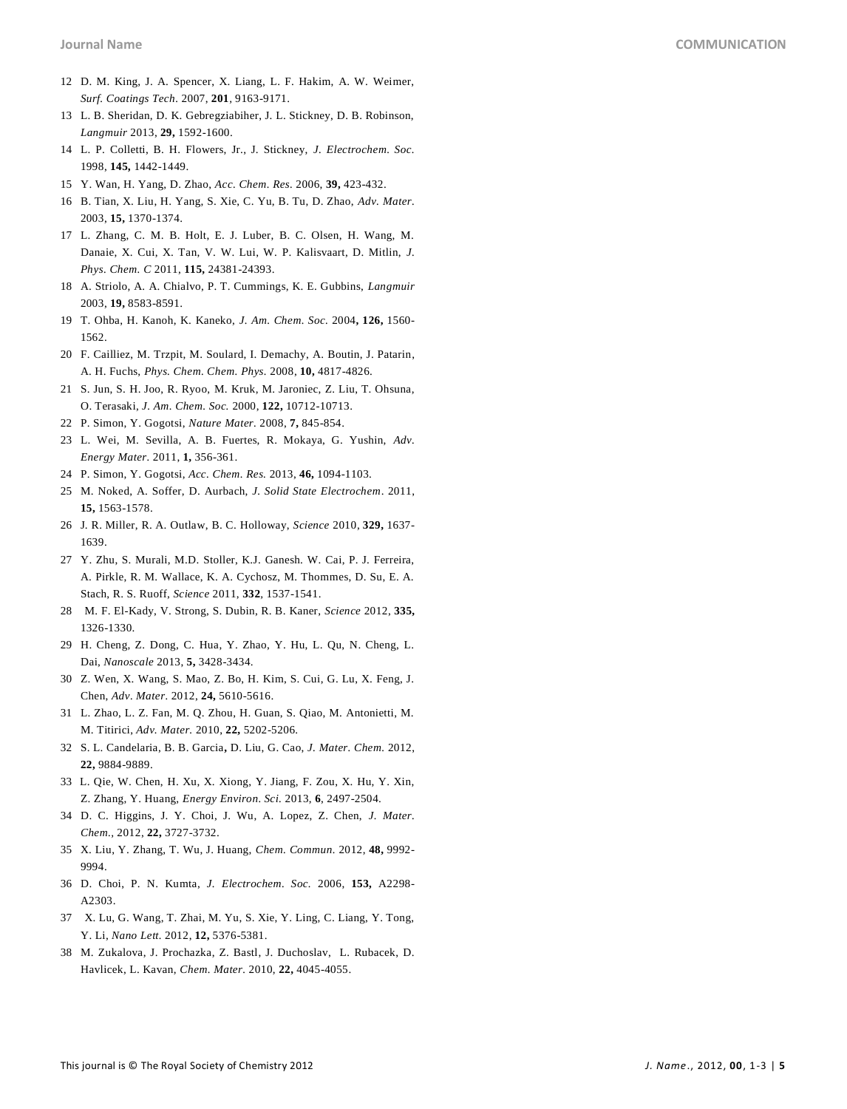- 12 D. M. King, J. A. Spencer, X. Liang, L. F. Hakim, A. W. Weimer, *Surf. Coatings Tech.* 2007, **201***,* 9163-9171.
- 13 L. B. Sheridan, D. K. Gebregziabiher, J. L. Stickney, D. B. Robinson, *Langmuir* 2013, **29,** 1592-1600.
- 14 L. P. Colletti, B. H. Flowers, Jr., J. Stickney, *J. Electrochem. Soc.* 1998, **145***,* 1442-1449.
- 15 Y. Wan, H. Yang, D. Zhao, *Acc. Chem. Res.* 2006, **39,** 423-432.
- 16 B. Tian, X. Liu, H. Yang, S. Xie, C. Yu, B. Tu, D. Zhao, *Adv. Mater.* 2003, **15,** 1370-1374.
- 17 L. Zhang, C. M. B. Holt, E. J. Luber, B. C. Olsen, H. Wang, M. Danaie, X. Cui, X. Tan, V. W. Lui, W. P. Kalisvaart, D. Mitlin, *J. Phys. Chem. C* 2011, **115,** 24381-24393.
- 18 A. Striolo, A. A. Chialvo, P. T. Cummings, K. E. Gubbins, *Langmuir* 2003, **19,** 8583-8591.
- 19 T. Ohba, H. Kanoh, K. Kaneko, *J. Am. Chem. Soc.* 2004**, 126,** 1560- 1562.
- 20 F. Cailliez, M. Trzpit, M. Soulard, I. Demachy, A. Boutin, J. Patarin, A. H. Fuchs, *Phys. Chem. Chem. Phys.* 2008, **10,** 4817-4826.
- 21 S. Jun, S. H. Joo, R. Ryoo, M. Kruk, M. Jaroniec, Z. Liu, T. Ohsuna, O. Terasaki, *J. Am. Chem. Soc.* 2000, **122,** 10712-10713.
- 22 P. Simon, Y. Gogotsi, *Nature Mater.* 2008, **7,** 845-854.
- 23 L. Wei, M. Sevilla, A. B. Fuertes, R. Mokaya, G. Yushin, *Adv. Energy Mater.* 2011, **1,** 356-361.
- 24 P. Simon, Y. Gogotsi, *Acc. Chem. Res.* 2013, **46,** 1094-1103.
- 25 M. Noked, A. Soffer, D. Aurbach, *J. Solid State Electrochem*. 2011, **15,** 1563-1578.
- 26 J. R. Miller, R. A. Outlaw, B. C. Holloway, *Science* 2010, **329,** 1637- 1639.
- 27 Y. Zhu, S. Murali, M.D. Stoller, K.J. Ganesh. W. Cai, P. J. Ferreira, A. Pirkle, R. M. Wallace, K. A. Cychosz, M. Thommes, D. Su, E. A. Stach, R. S. Ruoff, *Science* 2011, **332***,* 1537-1541.
- 28 M. F. El-Kady, V. Strong, S. Dubin, R. B. Kaner, *Science* 2012, **335,** 1326-1330.
- 29 H. Cheng, Z. Dong, C. Hua, Y. Zhao, Y. Hu, L. Qu, N. Cheng, L. Dai, *Nanoscale* 2013, **5,** 3428-3434.
- 30 Z. Wen, X. Wang, S. Mao, Z. Bo, H. Kim, S. Cui, G. Lu, X. Feng, J. Chen, *Adv. Mater.* 2012, **24,** 5610-5616.
- 31 L. Zhao, L. Z. Fan, M. Q. Zhou, H. Guan, S. Qiao, M. Antonietti, M. M. Titirici, *Adv. Mater.* 2010, **22,** 5202-5206.
- 32 S. L. Candelaria, B. B. Garcia**,** D. Liu, G. Cao, *J. Mater. Chem.* 2012, **22,** 9884-9889.
- 33 L. Qie, W. Chen, H. Xu, X. Xiong, Y. Jiang, F. Zou, X. Hu, Y. Xin, Z. Zhang, Y. Huang, *Energy Environ. Sci.* 2013, **6**, 2497-2504.
- 34 D. C. Higgins, J. Y. Choi, J. Wu, A. Lopez, Z. Chen, *J. Mater. Chem.,* 2012, **22,** 3727-3732.
- 35 X. Liu, Y. Zhang, T. Wu, J. Huang, *Chem. Commun.* 2012, **48,** 9992- 9994.
- 36 D. Choi, P. N. Kumta, *J. Electrochem. Soc.* 2006, **153,** A2298- A2303.
- 37 X. Lu, G. Wang, T. Zhai, M. Yu, S. Xie, Y. Ling, C. Liang, Y. Tong, Y. Li, *Nano Lett.* 2012, **12,** 5376-5381.
- 38 M. Zukalova, J. Prochazka, Z. Bastl, J. Duchoslav, L. Rubacek, D. Havlicek, L. Kavan, *Chem. Mater.* 2010, **22,** 4045-4055.